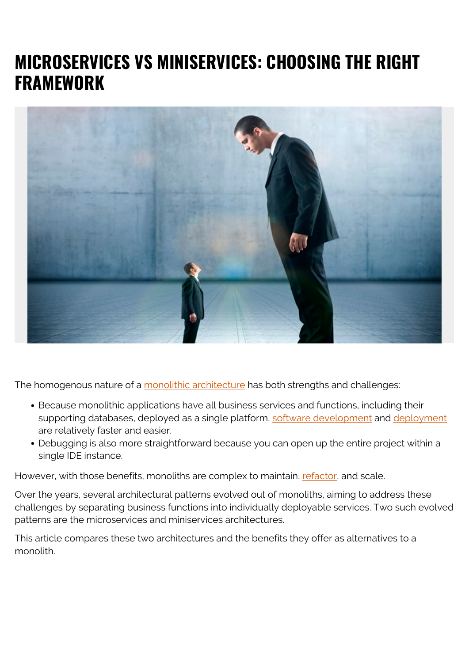# **MICROSERVICES VS MINISERVICES: CHOOSING THE RIGHT FRAMEWORK**



The homogenous nature of a [monolithic architecture](https://blogs.bmc.com/blogs/microservices-architecture/) has both strengths and challenges:

- Because monolithic applications have all business services and functions, including their supporting databases, deployed as a single platform, [software development](https://blogs.bmc.com/blogs/sdlc-software-development-lifecycle/) and [deployment](https://blogs.bmc.com/blogs/software-deployment-vs-release/) are relatively faster and easier.
- Debugging is also more straightforward because you can open up the entire project within a single IDE instance.

However, with those benefits, monoliths are complex to maintain, [refactor,](https://blogs.bmc.com/blogs/code-refactoring-explained/) and scale.

Over the years, several architectural patterns evolved out of monoliths, aiming to address these challenges by separating business functions into individually deployable services. Two such evolved patterns are the microservices and miniservices architectures.

This article compares these two architectures and the benefits they offer as alternatives to a monolith.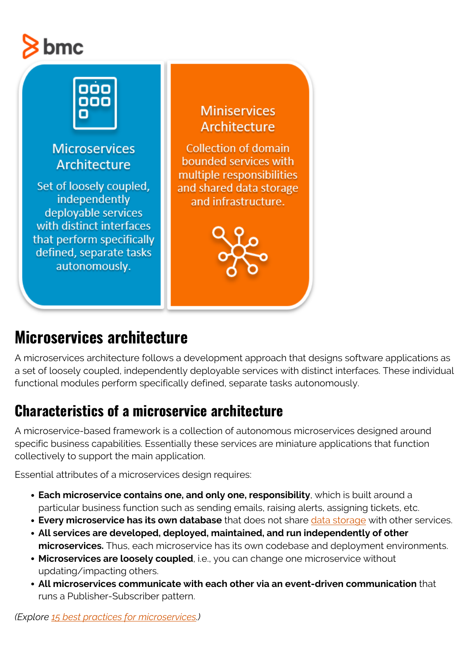# bmc



## **Microservices architecture**

A microservices architecture follows a development approach that designs software applications as a set of loosely coupled, independently deployable services with distinct interfaces. These individual functional modules perform specifically defined, separate tasks autonomously.

## **Characteristics of a microservice architecture**

A microservice-based framework is a collection of autonomous microservices designed around specific business capabilities. Essentially these services are miniature applications that function collectively to support the main application.

Essential attributes of a microservices design requires:

- **Each microservice contains one, and only one, responsibility**, which is built around a particular business function such as sending emails, raising alerts, assigning tickets, etc.
- **Every microservice has its own database** that does not share [data storage](https://blogs.bmc.com/blogs/data-lake-vs-data-warehouse-vs-database-whats-the-difference/) with other services.
- **All services are developed, deployed, maintained, and run independently of other microservices.** Thus, each microservice has its own codebase and deployment environments.
- **Microservices are loosely coupled**, i.e., you can change one microservice without updating/impacting others.
- **All microservices communicate with each other via an event-driven communication** that runs a Publisher-Subscriber pattern.

*(Explore [15 best practices for microservices](https://blogs.bmc.com/blogs/microservices-best-practices/).)*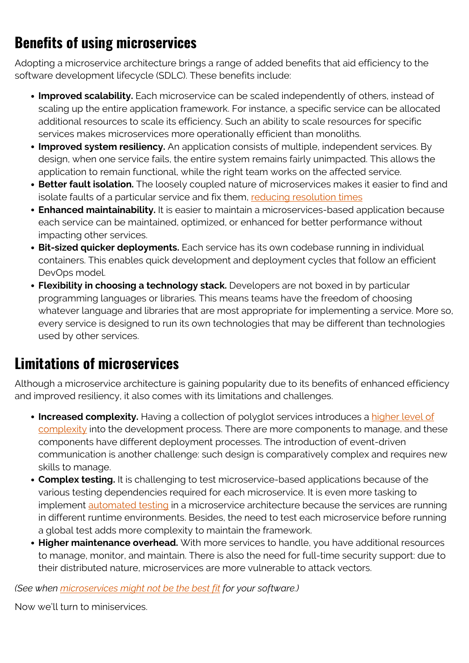## **Benefits of using microservices**

Adopting a microservice architecture brings a range of added benefits that aid efficiency to the software development lifecycle (SDLC). These benefits include:

- **Improved scalability.** Each microservice can be scaled independently of others, instead of scaling up the entire application framework. For instance, a specific service can be allocated additional resources to scale its efficiency. Such an ability to scale resources for specific services makes microservices more operationally efficient than monoliths.
- **Improved system resiliency.** An application consists of multiple, independent services. By design, when one service fails, the entire system remains fairly unimpacted. This allows the application to remain functional, while the right team works on the affected service.
- **Better fault isolation.** The loosely coupled nature of microservices makes it easier to find and isolate faults of a particular service and fix them, [reducing resolution times](https://blogs.bmc.com/blogs/mtbf-vs-mtff-vs-mttr-whats-difference/)
- **Enhanced maintainability.** It is easier to maintain a microservices-based application because each service can be maintained, optimized, or enhanced for better performance without impacting other services.
- **Bit-sized quicker deployments.** Each service has its own codebase running in individual containers. This enables quick development and deployment cycles that follow an efficient DevOps model.
- **Flexibility in choosing a technology stack.** Developers are not boxed in by particular programming languages or libraries. This means teams have the freedom of choosing whatever language and libraries that are most appropriate for implementing a service. More so, every service is designed to run its own technologies that may be different than technologies used by other services.

### **Limitations of microservices**

Although a microservice architecture is gaining popularity due to its benefits of enhanced efficiency and improved resiliency, it also comes with its limitations and challenges.

- **Increased complexity.** Having a collection of polyglot services introduces a [higher level of](https://blogs.bmc.com/blogs/how-complex-systems-fail/) [complexity](https://blogs.bmc.com/blogs/how-complex-systems-fail/) into the development process. There are more components to manage, and these components have different deployment processes. The introduction of event-driven communication is another challenge: such design is comparatively complex and requires new skills to manage.
- **Complex testing.** It is challenging to test microservice-based applications because of the various testing dependencies required for each microservice. It is even more tasking to implement [automated testing](https://blogs.bmc.com/blogs/testing-automation/) in a microservice architecture because the services are running in different runtime environments. Besides, the need to test each microservice before running a global test adds more complexity to maintain the framework.
- **Higher maintenance overhead.** With more services to handle, you have additional resources to manage, monitor, and maintain. There is also the need for full-time security support: due to their distributed nature, microservices are more vulnerable to attack vectors.

*(See when [microservices might not be the best fit](https://blogs.bmc.com/blogs/microservices-challenges-when-to-avoid/) for your software.)*

Now we'll turn to miniservices.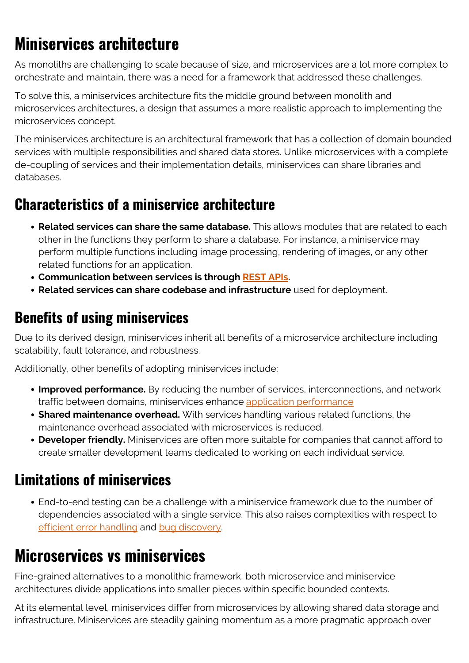# **Miniservices architecture**

As monoliths are challenging to scale because of size, and microservices are a lot more complex to orchestrate and maintain, there was a need for a framework that addressed these challenges.

To solve this, a miniservices architecture fits the middle ground between monolith and microservices architectures, a design that assumes a more realistic approach to implementing the microservices concept.

The miniservices architecture is an architectural framework that has a collection of domain bounded services with multiple responsibilities and shared data stores. Unlike microservices with a complete de-coupling of services and their implementation details, miniservices can share libraries and databases.

#### **Characteristics of a miniservice architecture**

- **Related services can share the same database.** This allows modules that are related to each other in the functions they perform to share a database. For instance, a miniservice may perform multiple functions including image processing, rendering of images, or any other related functions for an application.
- **Communication between services is through [REST APIs.](https://blogs.bmc.com/blogs/rest-vs-crud-whats-the-difference/)**
- **Related services can share codebase and infrastructure** used for deployment.

### **Benefits of using miniservices**

Due to its derived design, miniservices inherit all benefits of a microservice architecture including scalability, fault tolerance, and robustness.

Additionally, other benefits of adopting miniservices include:

- **Improved performance.** By reducing the number of services, interconnections, and network traffic between domains, miniservices enhance [application performance](https://blogs.bmc.com/blogs/application-performance-management-in-devops/)
- **Shared maintenance overhead.** With services handling various related functions, the maintenance overhead associated with microservices is reduced.
- **Developer friendly.** Miniservices are often more suitable for companies that cannot afford to create smaller development teams dedicated to working on each individual service.

#### **Limitations of miniservices**

End-to-end testing can be a challenge with a miniservice framework due to the number of dependencies associated with a single service. This also raises complexities with respect to [efficient error handling](https://blogs.bmc.com/blogs/error-budgets/) and [bug discovery.](https://blogs.bmc.com/blogs/patch-hotfix-coldfix-bugfix/)

## **Microservices vs miniservices**

Fine-grained alternatives to a monolithic framework, both microservice and miniservice architectures divide applications into smaller pieces within specific bounded contexts.

At its elemental level, miniservices differ from microservices by allowing shared data storage and infrastructure. Miniservices are steadily gaining momentum as a more pragmatic approach over